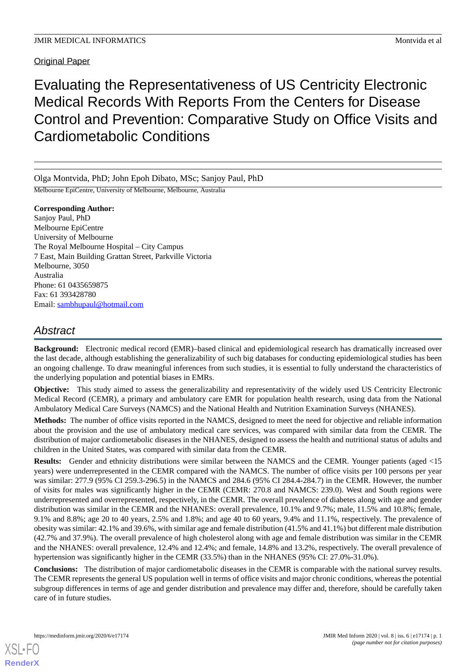Original Paper

Evaluating the Representativeness of US Centricity Electronic Medical Records With Reports From the Centers for Disease Control and Prevention: Comparative Study on Office Visits and Cardiometabolic Conditions

Olga Montvida, PhD; John Epoh Dibato, MSc; Sanjoy Paul, PhD

Melbourne EpiCentre, University of Melbourne, Melbourne, Australia

**Corresponding Author:** Sanjoy Paul, PhD Melbourne EpiCentre University of Melbourne The Royal Melbourne Hospital – City Campus 7 East, Main Building Grattan Street, Parkville Victoria Melbourne, 3050 Australia Phone: 61 0435659875 Fax: 61 393428780 Email: [sambhupaul@hotmail.com](mailto:sambhupaul@hotmail.com)

# *Abstract*

**Background:** Electronic medical record (EMR)–based clinical and epidemiological research has dramatically increased over the last decade, although establishing the generalizability of such big databases for conducting epidemiological studies has been an ongoing challenge. To draw meaningful inferences from such studies, it is essential to fully understand the characteristics of the underlying population and potential biases in EMRs.

**Objective:** This study aimed to assess the generalizability and representativity of the widely used US Centricity Electronic Medical Record (CEMR), a primary and ambulatory care EMR for population health research, using data from the National Ambulatory Medical Care Surveys (NAMCS) and the National Health and Nutrition Examination Surveys (NHANES).

**Methods:** The number of office visits reported in the NAMCS, designed to meet the need for objective and reliable information about the provision and the use of ambulatory medical care services, was compared with similar data from the CEMR. The distribution of major cardiometabolic diseases in the NHANES, designed to assess the health and nutritional status of adults and children in the United States, was compared with similar data from the CEMR.

**Results:** Gender and ethnicity distributions were similar between the NAMCS and the CEMR. Younger patients (aged <15 years) were underrepresented in the CEMR compared with the NAMCS. The number of office visits per 100 persons per year was similar: 277.9 (95% CI 259.3-296.5) in the NAMCS and 284.6 (95% CI 284.4-284.7) in the CEMR. However, the number of visits for males was significantly higher in the CEMR (CEMR: 270.8 and NAMCS: 239.0). West and South regions were underrepresented and overrepresented, respectively, in the CEMR. The overall prevalence of diabetes along with age and gender distribution was similar in the CEMR and the NHANES: overall prevalence, 10.1% and 9.7%; male, 11.5% and 10.8%; female, 9.1% and 8.8%; age 20 to 40 years, 2.5% and 1.8%; and age 40 to 60 years, 9.4% and 11.1%, respectively. The prevalence of obesity was similar: 42.1% and 39.6%, with similar age and female distribution (41.5% and 41.1%) but different male distribution (42.7% and 37.9%). The overall prevalence of high cholesterol along with age and female distribution was similar in the CEMR and the NHANES: overall prevalence, 12.4% and 12.4%; and female, 14.8% and 13.2%, respectively. The overall prevalence of hypertension was significantly higher in the CEMR (33.5%) than in the NHANES (95% CI: 27.0%-31.0%).

**Conclusions:** The distribution of major cardiometabolic diseases in the CEMR is comparable with the national survey results. The CEMR represents the general US population well in terms of office visits and major chronic conditions, whereas the potential subgroup differences in terms of age and gender distribution and prevalence may differ and, therefore, should be carefully taken care of in future studies.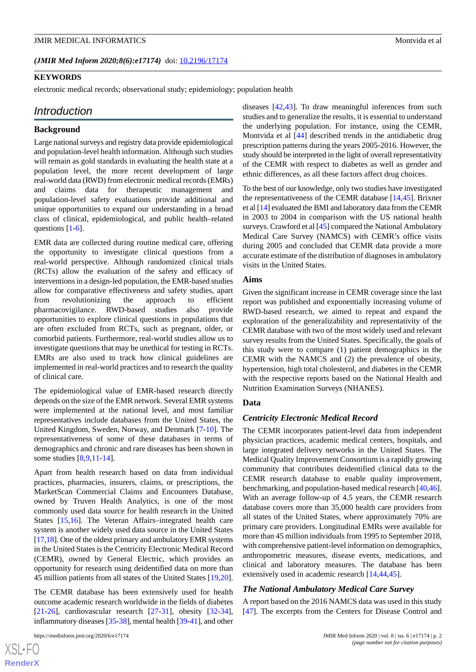(JMIR Med Inform 2020;8(6):e17174) doi: [10.2196/17174](http://dx.doi.org/10.2196/17174)

## **KEYWORDS**

electronic medical records; observational study; epidemiology; population health

## *Introduction*

#### **Background**

Large national surveys and registry data provide epidemiological and population-level health information. Although such studies will remain as gold standards in evaluating the health state at a population level, the more recent development of large real-world data (RWD) from electronic medical records (EMRs) and claims data for therapeutic management and population-level safety evaluations provide additional and unique opportunities to expand our understanding in a broad class of clinical, epidemiological, and public health–related questions [\[1](#page-8-0)[-6\]](#page-8-1).

EMR data are collected during routine medical care, offering the opportunity to investigate clinical questions from a real-world perspective. Although randomized clinical trials (RCTs) allow the evaluation of the safety and efficacy of interventions in a design-led population, the EMR-based studies allow for comparative effectiveness and safety studies, apart from revolutionizing the approach to efficient pharmacovigilance. RWD-based studies also provide opportunities to explore clinical questions in populations that are often excluded from RCTs, such as pregnant, older, or comorbid patients. Furthermore, real-world studies allow us to investigate questions that may be unethical for testing in RCTs. EMRs are also used to track how clinical guidelines are implemented in real-world practices and to research the quality of clinical care.

The epidemiological value of EMR-based research directly depends on the size of the EMR network. Several EMR systems were implemented at the national level, and most familiar representatives include databases from the United States, the United Kingdom, Sweden, Norway, and Denmark [\[7](#page-8-2)-[10\]](#page-8-3). The representativeness of some of these databases in terms of demographics and chronic and rare diseases has been shown in some studies [[8,](#page-8-4)[9](#page-8-5),[11-](#page-8-6)[14](#page-8-7)].

Apart from health research based on data from individual practices, pharmacies, insurers, claims, or prescriptions, the MarketScan Commercial Claims and Encounters Database, owned by Truven Health Analytics, is one of the most commonly used data source for health research in the United States [\[15](#page-8-8),[16\]](#page-8-9). The Veteran Affairs–integrated health care system is another widely used data source in the United States [[17,](#page-8-10)[18\]](#page-9-0). One of the oldest primary and ambulatory EMR systems in the United States is the Centricity Electronic Medical Record (CEMR), owned by General Electric, which provides an opportunity for research using deidentified data on more than 45 million patients from all states of the United States [\[19](#page-9-1),[20\]](#page-9-2).

The CEMR database has been extensively used for health outcome academic research worldwide in the fields of diabetes [[21](#page-9-3)[-26](#page-9-4)], cardiovascular research [\[27](#page-9-5)-[31\]](#page-9-6), obesity [\[32](#page-9-7)-[34\]](#page-9-8), inflammatory diseases [[35-](#page-9-9)[38\]](#page-10-0), mental health [\[39](#page-10-1)-[41\]](#page-10-2), and other

 $XS$ -FO **[RenderX](http://www.renderx.com/)** diseases [\[42](#page-10-3)[,43](#page-10-4)]. To draw meaningful inferences from such studies and to generalize the results, it is essential to understand the underlying population. For instance, using the CEMR, Montvida et al [[44\]](#page-10-5) described trends in the antidiabetic drug prescription patterns during the years 2005-2016. However, the study should be interpreted in the light of overall representativity of the CEMR with respect to diabetes as well as gender and ethnic differences, as all these factors affect drug choices.

To the best of our knowledge, only two studies have investigated the representativeness of the CEMR database [\[14](#page-8-7),[45\]](#page-10-6). Brixner et al [[14\]](#page-8-7) evaluated the BMI and laboratory data from the CEMR in 2003 to 2004 in comparison with the US national health surveys. Crawford et al [\[45\]](#page-10-6) compared the National Ambulatory Medical Care Survey (NAMCS) with CEMR's office visits during 2005 and concluded that CEMR data provide a more accurate estimate of the distribution of diagnoses in ambulatory visits in the United States.

#### **Aims**

Given the significant increase in CEMR coverage since the last report was published and exponentially increasing volume of RWD-based research, we aimed to repeat and expand the exploration of the generalizability and representativity of the CEMR database with two of the most widely used and relevant survey results from the United States. Specifically, the goals of this study were to compare (1) patient demographics in the CEMR with the NAMCS and (2) the prevalence of obesity, hypertension, high total cholesterol, and diabetes in the CEMR with the respective reports based on the National Health and Nutrition Examination Surveys (NHANES).

#### **Data**

#### *Centricity Electronic Medical Record*

The CEMR incorporates patient-level data from independent physician practices, academic medical centers, hospitals, and large integrated delivery networks in the United States. The Medical Quality Improvement Consortium is a rapidly growing community that contributes deidentified clinical data to the CEMR research database to enable quality improvement, benchmarking, and population-based medical research [\[40](#page-10-7),[46\]](#page-10-8). With an average follow-up of 4.5 years, the CEMR research database covers more than 35,000 health care providers from all states of the United States, where approximately 70% are primary care providers. Longitudinal EMRs were available for more than 45 million individuals from 1995 to September 2018, with comprehensive patient-level information on demographics, anthropometric measures, disease events, medications, and clinical and laboratory measures. The database has been extensively used in academic research [[14,](#page-8-7)[44](#page-10-5),[45\]](#page-10-6).

#### *The National Ambulatory Medical Care Survey*

A report based on the 2016 NAMCS data was used in this study [[47\]](#page-10-9). The excerpts from the Centers for Disease Control and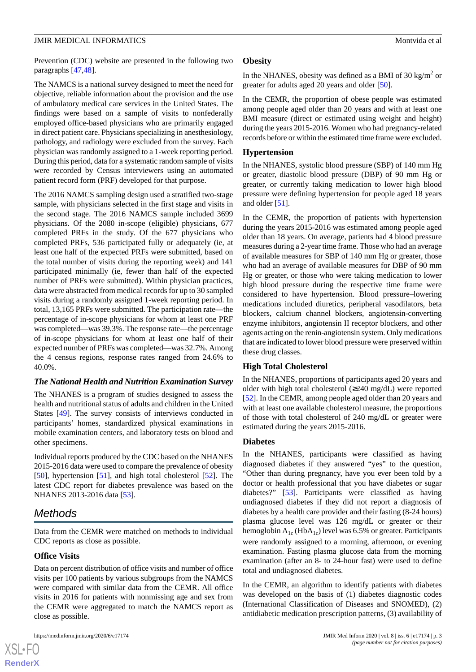Prevention (CDC) website are presented in the following two paragraphs [\[47](#page-10-9),[48\]](#page-10-10).

The NAMCS is a national survey designed to meet the need for objective, reliable information about the provision and the use of ambulatory medical care services in the United States. The findings were based on a sample of visits to nonfederally employed office-based physicians who are primarily engaged in direct patient care. Physicians specializing in anesthesiology, pathology, and radiology were excluded from the survey. Each physician was randomly assigned to a 1-week reporting period. During this period, data for a systematic random sample of visits were recorded by Census interviewers using an automated patient record form (PRF) developed for that purpose.

The 2016 NAMCS sampling design used a stratified two-stage sample, with physicians selected in the first stage and visits in the second stage. The 2016 NAMCS sample included 3699 physicians. Of the 2080 in-scope (eligible) physicians, 677 completed PRFs in the study. Of the 677 physicians who completed PRFs, 536 participated fully or adequately (ie, at least one half of the expected PRFs were submitted, based on the total number of visits during the reporting week) and 141 participated minimally (ie, fewer than half of the expected number of PRFs were submitted). Within physician practices, data were abstracted from medical records for up to 30 sampled visits during a randomly assigned 1-week reporting period. In total, 13,165 PRFs were submitted. The participation rate—the percentage of in-scope physicians for whom at least one PRF was completed—was 39.3%. The response rate—the percentage of in-scope physicians for whom at least one half of their expected number of PRFs was completed—was 32.7%. Among the 4 census regions, response rates ranged from 24.6% to 40.0%.

#### *The National Health and Nutrition Examination Survey*

The NHANES is a program of studies designed to assess the health and nutritional status of adults and children in the United States [[49\]](#page-10-11). The survey consists of interviews conducted in participants' homes, standardized physical examinations in mobile examination centers, and laboratory tests on blood and other specimens.

Individual reports produced by the CDC based on the NHANES 2015-2016 data were used to compare the prevalence of obesity [[50\]](#page-10-12), hypertension [\[51](#page-10-13)], and high total cholesterol [\[52](#page-10-14)]. The latest CDC report for diabetes prevalence was based on the NHANES 2013-2016 data [[53\]](#page-10-15).

# *Methods*

Data from the CEMR were matched on methods to individual CDC reports as close as possible.

#### **Office Visits**

 $XS$  • FO **[RenderX](http://www.renderx.com/)**

Data on percent distribution of office visits and number of office visits per 100 patients by various subgroups from the NAMCS were compared with similar data from the CEMR. All office visits in 2016 for patients with nonmissing age and sex from the CEMR were aggregated to match the NAMCS report as close as possible.

#### **Obesity**

In the NHANES, obesity was defined as a BMI of 30 kg/m<sup>2</sup> or greater for adults aged 20 years and older [\[50](#page-10-12)].

In the CEMR, the proportion of obese people was estimated among people aged older than 20 years and with at least one BMI measure (direct or estimated using weight and height) during the years 2015-2016. Women who had pregnancy-related records before or within the estimated time frame were excluded.

## **Hypertension**

In the NHANES, systolic blood pressure (SBP) of 140 mm Hg or greater, diastolic blood pressure (DBP) of 90 mm Hg or greater, or currently taking medication to lower high blood pressure were defining hypertension for people aged 18 years and older [[51\]](#page-10-13).

In the CEMR, the proportion of patients with hypertension during the years 2015-2016 was estimated among people aged older than 18 years. On average, patients had 4 blood pressure measures during a 2-year time frame. Those who had an average of available measures for SBP of 140 mm Hg or greater, those who had an average of available measures for DBP of 90 mm Hg or greater, or those who were taking medication to lower high blood pressure during the respective time frame were considered to have hypertension. Blood pressure–lowering medications included diuretics, peripheral vasodilators, beta blockers, calcium channel blockers, angiotensin-converting enzyme inhibitors, angiotensin II receptor blockers, and other agents acting on the renin-angiotensin system. Only medications that are indicated to lower blood pressure were preserved within these drug classes.

#### **High Total Cholesterol**

In the NHANES, proportions of participants aged 20 years and older with high total cholesterol (≥240 mg/dL) were reported [[52\]](#page-10-14). In the CEMR, among people aged older than 20 years and with at least one available cholesterol measure, the proportions of those with total cholesterol of 240 mg/dL or greater were estimated during the years 2015-2016.

#### **Diabetes**

In the NHANES, participants were classified as having diagnosed diabetes if they answered "yes" to the question, "Other than during pregnancy, have you ever been told by a doctor or health professional that you have diabetes or sugar diabetes?" [[53\]](#page-10-15). Participants were classified as having undiagnosed diabetes if they did not report a diagnosis of diabetes by a health care provider and their fasting (8-24 hours) plasma glucose level was 126 mg/dL or greater or their hemoglobin  $A_{1c}$  (Hb $A_{1c}$ ) level was 6.5% or greater. Participants were randomly assigned to a morning, afternoon, or evening examination. Fasting plasma glucose data from the morning examination (after an 8- to 24-hour fast) were used to define total and undiagnosed diabetes.

In the CEMR, an algorithm to identify patients with diabetes was developed on the basis of (1) diabetes diagnostic codes (International Classification of Diseases and SNOMED), (2) antidiabetic medication prescription patterns, (3) availability of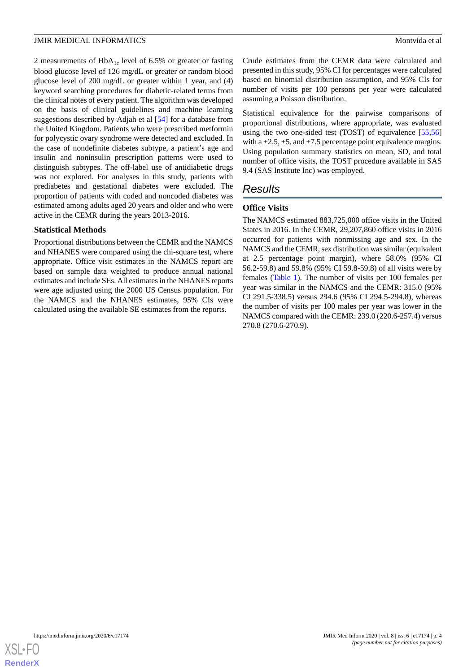2 measurements of  $HbA_{1c}$  level of 6.5% or greater or fasting blood glucose level of 126 mg/dL or greater or random blood glucose level of 200 mg/dL or greater within 1 year, and (4) keyword searching procedures for diabetic-related terms from the clinical notes of every patient. The algorithm was developed on the basis of clinical guidelines and machine learning suggestions described by Adjah et al [[54\]](#page-10-16) for a database from the United Kingdom. Patients who were prescribed metformin for polycystic ovary syndrome were detected and excluded. In the case of nondefinite diabetes subtype, a patient's age and insulin and noninsulin prescription patterns were used to distinguish subtypes. The off-label use of antidiabetic drugs was not explored. For analyses in this study, patients with prediabetes and gestational diabetes were excluded. The proportion of patients with coded and noncoded diabetes was estimated among adults aged 20 years and older and who were active in the CEMR during the years 2013-2016.

### **Statistical Methods**

Proportional distributions between the CEMR and the NAMCS and NHANES were compared using the chi-square test, where appropriate. Office visit estimates in the NAMCS report are based on sample data weighted to produce annual national estimates and include SEs. All estimates in the NHANES reports were age adjusted using the 2000 US Census population. For the NAMCS and the NHANES estimates, 95% CIs were calculated using the available SE estimates from the reports.

Crude estimates from the CEMR data were calculated and presented in this study, 95% CI for percentages were calculated based on binomial distribution assumption, and 95% CIs for number of visits per 100 persons per year were calculated assuming a Poisson distribution.

Statistical equivalence for the pairwise comparisons of proportional distributions, where appropriate, was evaluated using the two one-sided test (TOST) of equivalence [[55](#page-10-17)[,56](#page-10-18)] with a  $\pm 2.5$ ,  $\pm 5$ , and  $\pm 7.5$  percentage point equivalence margins. Using population summary statistics on mean, SD, and total number of office visits, the TOST procedure available in SAS 9.4 (SAS Institute Inc) was employed.

# *Results*

# **Office Visits**

The NAMCS estimated 883,725,000 office visits in the United States in 2016. In the CEMR, 29,207,860 office visits in 2016 occurred for patients with nonmissing age and sex. In the NAMCS and the CEMR, sex distribution was similar (equivalent at 2.5 percentage point margin), where 58.0% (95% CI 56.2-59.8) and 59.8% (95% CI 59.8-59.8) of all visits were by females ([Table 1\)](#page-4-0). The number of visits per 100 females per year was similar in the NAMCS and the CEMR: 315.0 (95% CI 291.5-338.5) versus 294.6 (95% CI 294.5-294.8), whereas the number of visits per 100 males per year was lower in the NAMCS compared with the CEMR: 239.0 (220.6-257.4) versus 270.8 (270.6-270.9).

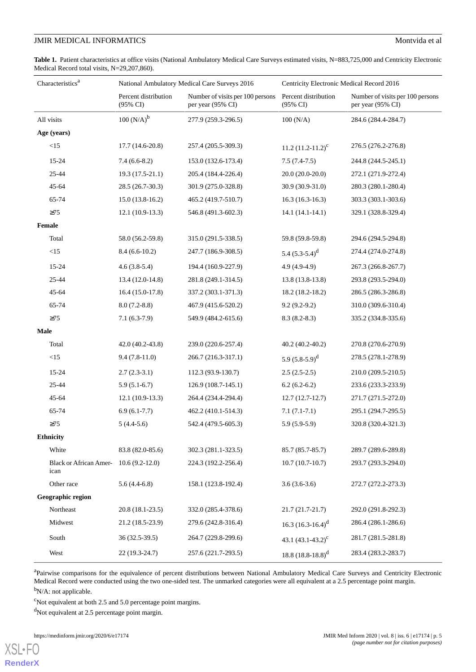<span id="page-4-0"></span>Table 1. Patient characteristics at office visits (National Ambulatory Medical Care Surveys estimated visits, N=883,725,000 and Centricity Electronic Medical Record total visits, N=29,207,860).

| Characteristics <sup>a</sup>          |                                  | National Ambulatory Medical Care Surveys 2016         | Centricity Electronic Medical Record 2016 |                                                       |  |
|---------------------------------------|----------------------------------|-------------------------------------------------------|-------------------------------------------|-------------------------------------------------------|--|
|                                       | Percent distribution<br>(95% CI) | Number of visits per 100 persons<br>per year (95% CI) | Percent distribution<br>(95% CI)          | Number of visits per 100 persons<br>per year (95% CI) |  |
| All visits                            | $100(N/A)^{b}$                   | 277.9 (259.3-296.5)                                   | 100 (N/A)                                 | 284.6 (284.4-284.7)                                   |  |
| Age (years)                           |                                  |                                                       |                                           |                                                       |  |
| <15                                   | 17.7 (14.6-20.8)                 | 257.4 (205.5-309.3)                                   | 11.2 $(11.2 - 11.2)^c$                    | 276.5 (276.2-276.8)                                   |  |
| 15-24                                 | $7.4(6.6-8.2)$                   | 153.0 (132.6-173.4)                                   | $7.5(7.4-7.5)$                            | 244.8 (244.5-245.1)                                   |  |
| 25-44                                 | $19.3(17.5-21.1)$                | 205.4 (184.4-226.4)                                   | $20.0(20.0-20.0)$                         | 272.1 (271.9-272.4)                                   |  |
| 45-64                                 | 28.5 (26.7-30.3)                 | 301.9 (275.0-328.8)                                   | 30.9 (30.9-31.0)                          | 280.3 (280.1-280.4)                                   |  |
| 65-74                                 | $15.0(13.8-16.2)$                | 465.2 (419.7-510.7)                                   | $16.3(16.3-16.3)$                         | 303.3 (303.1-303.6)                                   |  |
| $\geq$ 75                             | $12.1(10.9-13.3)$                | 546.8 (491.3-602.3)                                   | $14.1(14.1-14.1)$                         | 329.1 (328.8-329.4)                                   |  |
| Female                                |                                  |                                                       |                                           |                                                       |  |
| Total                                 | 58.0 (56.2-59.8)                 | 315.0 (291.5-338.5)                                   | 59.8 (59.8-59.8)                          | 294.6 (294.5-294.8)                                   |  |
| $<15\,$                               | $8.4(6.6-10.2)$                  | 247.7 (186.9-308.5)                                   | 5.4 $(5.3-5.4)^d$                         | 274.4 (274.0-274.8)                                   |  |
| 15-24                                 | $4.6(3.8-5.4)$                   | 194.4 (160.9-227.9)                                   | $4.9(4.9-4.9)$                            | 267.3 (266.8-267.7)                                   |  |
| 25-44                                 | 13.4 (12.0-14.8)                 | 281.8 (249.1-314.5)                                   | 13.8 (13.8-13.8)                          | 293.8 (293.5-294.0)                                   |  |
| 45-64                                 | $16.4(15.0-17.8)$                | 337.2 (303.1-371.3)                                   | 18.2 (18.2-18.2)                          | 286.5 (286.3-286.8)                                   |  |
| 65-74                                 | $8.0(7.2-8.8)$                   | 467.9 (415.6-520.2)                                   | $9.2(9.2-9.2)$                            | 310.0 (309.6-310.4)                                   |  |
| $\geq 75$                             | $7.1(6.3-7.9)$                   | 549.9 (484.2-615.6)                                   | $8.3(8.2-8.3)$                            | 335.2 (334.8-335.6)                                   |  |
| Male                                  |                                  |                                                       |                                           |                                                       |  |
| Total                                 | 42.0 (40.2-43.8)                 | 239.0 (220.6-257.4)                                   | $40.2(40.2-40.2)$                         | 270.8 (270.6-270.9)                                   |  |
| $<15\,$                               | $9.4(7.8-11.0)$                  | 266.7 (216.3-317.1)                                   | 5.9 $(5.8-5.9)^d$                         | 278.5 (278.1-278.9)                                   |  |
| 15-24                                 | $2.7(2.3-3.1)$                   | 112.3 (93.9-130.7)                                    | $2.5(2.5-2.5)$                            | 210.0 (209.5-210.5)                                   |  |
| 25-44                                 | $5.9(5.1-6.7)$                   | $126.9(108.7-145.1)$                                  | $6.2(6.2-6.2)$                            | 233.6 (233.3-233.9)                                   |  |
| 45-64                                 | $12.1(10.9-13.3)$                | 264.4 (234.4-294.4)                                   | $12.7(12.7-12.7)$                         | 271.7 (271.5-272.0)                                   |  |
| 65-74                                 | $6.9(6.1-7.7)$                   | 462.2 (410.1-514.3)                                   | $7.1(7.1-7.1)$                            | 295.1 (294.7-295.5)                                   |  |
| $\geq$ 75                             | $5(4.4-5.6)$                     | 542.4 (479.5-605.3)                                   | $5.9(5.9-5.9)$                            | 320.8 (320.4-321.3)                                   |  |
| <b>Ethnicity</b>                      |                                  |                                                       |                                           |                                                       |  |
| White                                 | 83.8 (82.0-85.6)                 | 302.3 (281.1-323.5)                                   | 85.7 (85.7-85.7)                          | 289.7 (289.6-289.8)                                   |  |
| <b>Black or African Amer-</b><br>ican | $10.6(9.2-12.0)$                 | 224.3 (192.2-256.4)                                   | $10.7(10.7-10.7)$                         | 293.7 (293.3-294.0)                                   |  |
| Other race                            | $5.6(4.4-6.8)$                   | 158.1 (123.8-192.4)                                   | $3.6(3.6-3.6)$                            | 272.7 (272.2-273.3)                                   |  |
| Geographic region                     |                                  |                                                       |                                           |                                                       |  |
| Northeast                             | $20.8(18.1-23.5)$                | 332.0 (285.4-378.6)                                   | $21.7(21.7-21.7)$                         | 292.0 (291.8-292.3)                                   |  |
| Midwest                               | 21.2 (18.5-23.9)                 | 279.6 (242.8-316.4)                                   | 16.3 $(16.3 - 16.4)^d$                    | 286.4 (286.1-286.6)                                   |  |
| South                                 | 36 (32.5-39.5)                   | 264.7 (229.8-299.6)                                   | 43.1 $(43.1 - 43.2)^c$                    | 281.7 (281.5-281.8)                                   |  |
| West                                  | 22 (19.3-24.7)                   | 257.6 (221.7-293.5)                                   | 18.8 $(18.8 - 18.8)^d$                    | 283.4 (283.2-283.7)                                   |  |

<sup>a</sup>Pairwise comparisons for the equivalence of percent distributions between National Ambulatory Medical Care Surveys and Centricity Electronic Medical Record were conducted using the two one-sided test. The unmarked categories were all equivalent at a 2.5 percentage point margin.

<sup>b</sup>N/A: not applicable.

[XSL](http://www.w3.org/Style/XSL)•FO **[RenderX](http://www.renderx.com/)**

 $\textdegree$ Not equivalent at both 2.5 and 5.0 percentage point margins.

<sup>d</sup>Not equivalent at 2.5 percentage point margin.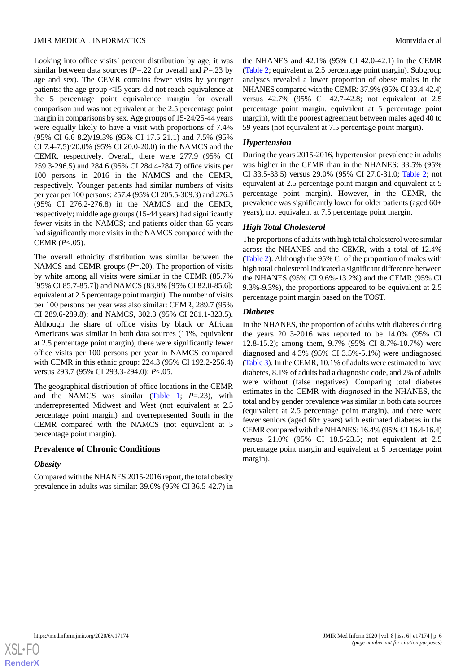Looking into office visits' percent distribution by age, it was similar between data sources (*P*=.22 for overall and *P*=.23 by age and sex). The CEMR contains fewer visits by younger patients: the age group <15 years did not reach equivalence at the 5 percentage point equivalence margin for overall comparison and was not equivalent at the 2.5 percentage point margin in comparisons by sex. Age groups of 15-24/25-44 years were equally likely to have a visit with proportions of 7.4% (95% CI 6.6-8.2)/19.3% (95% CI 17.5-21.1) and 7.5% (95% CI 7.4-7.5)/20.0% (95% CI 20.0-20.0) in the NAMCS and the CEMR, respectively. Overall, there were 277.9 (95% CI 259.3-296.5) and 284.6 (95% CI 284.4-284.7) office visits per 100 persons in 2016 in the NAMCS and the CEMR, respectively. Younger patients had similar numbers of visits per year per 100 persons: 257.4 (95% CI 205.5-309.3) and 276.5 (95% CI 276.2-276.8) in the NAMCS and the CEMR, respectively; middle age groups (15-44 years) had significantly fewer visits in the NAMCS; and patients older than 65 years had significantly more visits in the NAMCS compared with the CEMR (*P*<.05).

The overall ethnicity distribution was similar between the NAMCS and CEMR groups (*P*=.20). The proportion of visits by white among all visits were similar in the CEMR (85.7% [95% CI 85.7-85.7]) and NAMCS (83.8% [95% CI 82.0-85.6]; equivalent at 2.5 percentage point margin). The number of visits per 100 persons per year was also similar: CEMR, 289.7 (95% CI 289.6-289.8); and NAMCS, 302.3 (95% CI 281.1-323.5). Although the share of office visits by black or African Americans was similar in both data sources (11%, equivalent at 2.5 percentage point margin), there were significantly fewer office visits per 100 persons per year in NAMCS compared with CEMR in this ethnic group: 224.3 (95% CI 192.2-256.4) versus 293.7 (95% CI 293.3-294.0); *P*<.05.

The geographical distribution of office locations in the CEMR and the NAMCS was similar [\(Table 1](#page-4-0); *P*=.23), with underrepresented Midwest and West (not equivalent at 2.5 percentage point margin) and overrepresented South in the CEMR compared with the NAMCS (not equivalent at 5 percentage point margin).

## **Prevalence of Chronic Conditions**

#### *Obesity*

Compared with the NHANES 2015-2016 report, the total obesity prevalence in adults was similar: 39.6% (95% CI 36.5-42.7) in the NHANES and 42.1% (95% CI 42.0-42.1) in the CEMR ([Table 2](#page-6-0); equivalent at 2.5 percentage point margin). Subgroup analyses revealed a lower proportion of obese males in the NHANES compared with the CEMR: 37.9% (95% CI 33.4-42.4) versus 42.7% (95% CI 42.7-42.8; not equivalent at 2.5 percentage point margin, equivalent at 5 percentage point margin), with the poorest agreement between males aged 40 to 59 years (not equivalent at 7.5 percentage point margin).

### *Hypertension*

During the years 2015-2016, hypertension prevalence in adults was higher in the CEMR than in the NHANES: 33.5% (95% CI 33.5-33.5) versus 29.0% (95% CI 27.0-31.0; [Table 2;](#page-6-0) not equivalent at 2.5 percentage point margin and equivalent at 5 percentage point margin). However, in the CEMR, the prevalence was significantly lower for older patients (aged 60+ years), not equivalent at 7.5 percentage point margin.

## *High Total Cholesterol*

The proportions of adults with high total cholesterol were similar across the NHANES and the CEMR, with a total of 12.4% ([Table 2\)](#page-6-0). Although the 95% CI of the proportion of males with high total cholesterol indicated a significant difference between the NHANES (95% CI 9.6%-13.2%) and the CEMR (95% CI 9.3%-9.3%), the proportions appeared to be equivalent at 2.5 percentage point margin based on the TOST.

## *Diabetes*

In the NHANES, the proportion of adults with diabetes during the years 2013-2016 was reported to be 14.0% (95% CI 12.8-15.2); among them, 9.7% (95% CI 8.7%-10.7%) were diagnosed and 4.3% (95% CI 3.5%-5.1%) were undiagnosed ([Table 3\)](#page-6-1). In the CEMR, 10.1% of adults were estimated to have diabetes, 8.1% of adults had a diagnostic code, and 2% of adults were without (false negatives). Comparing total diabetes estimates in the CEMR with *diagnosed* in the NHANES, the total and by gender prevalence was similar in both data sources (equivalent at 2.5 percentage point margin), and there were fewer seniors (aged 60+ years) with estimated diabetes in the CEMR compared with the NHANES: 16.4% (95% CI 16.4-16.4) versus 21.0% (95% CI 18.5-23.5; not equivalent at 2.5 percentage point margin and equivalent at 5 percentage point margin).

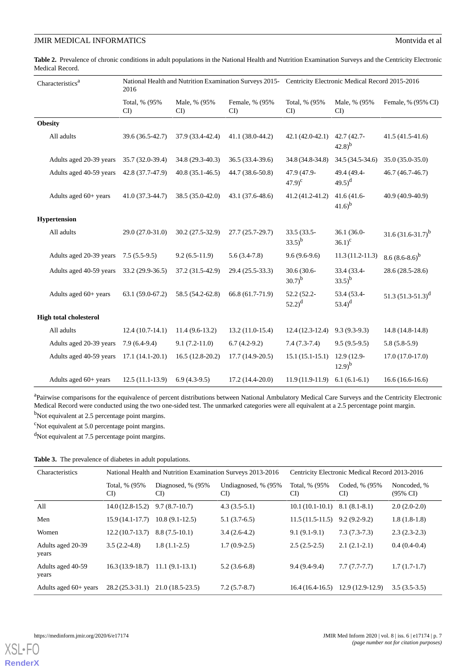<span id="page-6-0"></span>

|                 |  | Table 2. Prevalence of chronic conditions in adult populations in the National Health and Nutrition Examination Surveys and the Centricity Electronic |  |  |
|-----------------|--|-------------------------------------------------------------------------------------------------------------------------------------------------------|--|--|
| Medical Record. |  |                                                                                                                                                       |  |  |

| Characteristics <sup>a</sup>  | National Health and Nutrition Examination Surveys 2015- Centricity Electronic Medical Record 2015-2016<br>2016 |                    |                      |                                 |                             |                       |
|-------------------------------|----------------------------------------------------------------------------------------------------------------|--------------------|----------------------|---------------------------------|-----------------------------|-----------------------|
|                               | Total, % (95%<br>CI                                                                                            | Male, % (95%<br>CI | Female, % (95%<br>CI | Total, % (95%<br>CI             | Male, % (95%<br>CI          | Female, % (95% CI)    |
| <b>Obesity</b>                |                                                                                                                |                    |                      |                                 |                             |                       |
| All adults                    | 39.6 (36.5-42.7)                                                                                               | 37.9 (33.4-42.4)   | 41.1 (38.0-44.2)     | 42.1 (42.0-42.1)                | 42.7 (42.7-<br>$(42.8)^{b}$ | $41.5(41.5-41.6)$     |
| Adults aged 20-39 years       | 35.7 (32.0-39.4)                                                                                               | 34.8 (29.3-40.3)   | $36.5(33.4-39.6)$    | 34.8 (34.8-34.8)                | 34.5 (34.5-34.6)            | $35.0(35.0-35.0)$     |
| Adults aged 40-59 years       | 42.8 (37.7-47.9)                                                                                               | $40.8(35.1-46.5)$  | 44.7 (38.6-50.8)     | 47.9 (47.9-<br>$(47.9)^{c}$     | 49.4 (49.4-<br>$(49.5)^d$   | $46.7(46.7-46.7)$     |
| Adults aged 60+ years         | $41.0(37.3-44.7)$                                                                                              | 38.5 (35.0-42.0)   | 43.1 (37.6-48.6)     | 41.2 (41.2-41.2)                | 41.6 (41.6-<br>$(41.6)^{b}$ | 40.9 (40.9-40.9)      |
| Hypertension                  |                                                                                                                |                    |                      |                                 |                             |                       |
| All adults                    | 29.0 (27.0-31.0)                                                                                               | $30.2(27.5-32.9)$  | $27.7(25.7-29.7)$    | 33.5 (33.5-<br>$(33.5)^{b}$     | 36.1 (36.0-<br>$36.1)^{c}$  | $31.6(31.6-31.7)^{b}$ |
| Adults aged 20-39 years       | $7.5(5.5-9.5)$                                                                                                 | $9.2(6.5-11.9)$    | $5.6(3.4-7.8)$       | $9.6(9.6-9.6)$                  | $11.3(11.2-11.3)$           | $8.6(8.6-8.6)^b$      |
| Adults aged 40-59 years       | 33.2 (29.9-36.5)                                                                                               | 37.2 (31.5-42.9)   | 29.4 (25.5-33.3)     | 30.6 (30.6-<br>$(30.7)^{b}$     | 33.4 (33.4-<br>$(33.5)^{b}$ | 28.6 (28.5-28.6)      |
| Adults aged $60+$ years       | 63.1 (59.0-67.2)                                                                                               | 58.5 (54.2-62.8)   | 66.8 (61.7-71.9)     | 52.2 (52.2-<br>$(52.2)^d$       | 53.4 (53.4-<br>$(53.4)^d$   | 51.3 $(51.3-51.3)^d$  |
| <b>High total cholesterol</b> |                                                                                                                |                    |                      |                                 |                             |                       |
| All adults                    | $12.4(10.7-14.1)$                                                                                              | $11.4(9.6-13.2)$   | $13.2(11.0-15.4)$    | $12.4(12.3-12.4)$               | $9.3(9.3-9.3)$              | 14.8 (14.8-14.8)      |
| Adults aged 20-39 years       | $7.9(6.4-9.4)$                                                                                                 | $9.1(7.2-11.0)$    | $6.7(4.2-9.2)$       | $7.4(7.3-7.4)$                  | $9.5(9.5-9.5)$              | $5.8(5.8-5.9)$        |
| Adults aged 40-59 years       | $17.1(14.1-20.1)$                                                                                              | $16.5(12.8-20.2)$  | $17.7(14.9-20.5)$    | $15.1(15.1-15.1)$               | 12.9 (12.9-<br>$(12.9)^{b}$ | $17.0(17.0-17.0)$     |
| Adults aged $60+$ years       | $12.5(11.1-13.9)$                                                                                              | $6.9(4.3-9.5)$     | $17.2(14.4-20.0)$    | $11.9(11.9-11.9)$ 6.1 (6.1-6.1) |                             | $16.6(16.6-16.6)$     |

<sup>a</sup>Pairwise comparisons for the equivalence of percent distributions between National Ambulatory Medical Care Surveys and the Centricity Electronic Medical Record were conducted using the two one-sided test. The unmarked categories were all equivalent at a 2.5 percentage point margin.

<span id="page-6-1"></span><sup>b</sup>Not equivalent at 2.5 percentage point margins.

 $c$ Not equivalent at 5.0 percentage point margins.

<sup>d</sup>Not equivalent at 7.5 percentage point margins.

**Table 3.** The prevalence of diabetes in adult populations.

| Characteristics            |                       | National Health and Nutrition Examination Surveys 2013-2016 |                             | Centricity Electronic Medical Record 2013-2016 |                       |                                    |
|----------------------------|-----------------------|-------------------------------------------------------------|-----------------------------|------------------------------------------------|-----------------------|------------------------------------|
|                            | Total, % (95%)<br>CI) | Diagnosed, % (95%)<br>CI)                                   | Undiagnosed, % (95%)<br>CI) | Total, % (95%)<br>CI)                          | Coded, % (95%)<br>CI) | Noncoded, %<br>$(95\% \text{ CI})$ |
| All                        | $14.0(12.8-15.2)$     | $9.7(8.7-10.7)$                                             | $4.3(3.5-5.1)$              | $10.1(10.1-10.1)$                              | $8.1(8.1-8.1)$        | $2.0(2.0-2.0)$                     |
| Men                        | $15.9(14.1-17.7)$     | $10.8(9.1-12.5)$                                            | $5.1(3.7-6.5)$              | $11.5(11.5-11.5)$                              | $9.2(9.2-9.2)$        | $1.8(1.8-1.8)$                     |
| Women                      | $12.2(10.7-13.7)$     | $8.8(7.5-10.1)$                                             | $3.4(2.6-4.2)$              | $9.1(9.1-9.1)$                                 | $7.3(7.3-7.3)$        | $2.3(2.3-2.3)$                     |
| Adults aged 20-39<br>years | $3.5(2.2-4.8)$        | $1.8(1.1-2.5)$                                              | $1.7(0.9-2.5)$              | $2.5(2.5-2.5)$                                 | $2.1(2.1-2.1)$        | $0.4(0.4-0.4)$                     |
| Adults aged 40-59<br>years | $16.3(13.9-18.7)$     | $11.1(9.1-13.1)$                                            | $5.2(3.6-6.8)$              | $9.4(9.4-9.4)$                                 | $7.7(7.7-7.7)$        | $1.7(1.7-1.7)$                     |
| Adults aged $60+$ years    | $28.2(25.3-31.1)$     | $21.0(18.5-23.5)$                                           | $7.2(5.7-8.7)$              | $16.4(16.4-16.5)$                              | $12.9(12.9-12.9)$     | $3.5(3.5-3.5)$                     |



**[RenderX](http://www.renderx.com/)**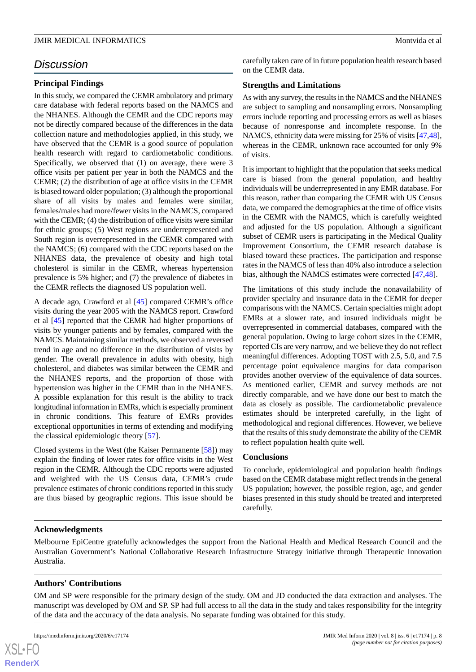# *Discussion*

# **Principal Findings**

In this study, we compared the CEMR ambulatory and primary care database with federal reports based on the NAMCS and the NHANES. Although the CEMR and the CDC reports may not be directly compared because of the differences in the data collection nature and methodologies applied, in this study, we have observed that the CEMR is a good source of population health research with regard to cardiometabolic conditions. Specifically, we observed that (1) on average, there were 3 office visits per patient per year in both the NAMCS and the CEMR; (2) the distribution of age at office visits in the CEMR is biased toward older population; (3) although the proportional share of all visits by males and females were similar, females/males had more/fewer visits in the NAMCS, compared with the CEMR; (4) the distribution of office visits were similar for ethnic groups; (5) West regions are underrepresented and South region is overrepresented in the CEMR compared with the NAMCS; (6) compared with the CDC reports based on the NHANES data, the prevalence of obesity and high total cholesterol is similar in the CEMR, whereas hypertension prevalence is 5% higher; and (7) the prevalence of diabetes in the CEMR reflects the diagnosed US population well.

A decade ago, Crawford et al [[45\]](#page-10-6) compared CEMR's office visits during the year 2005 with the NAMCS report. Crawford et al [\[45](#page-10-6)] reported that the CEMR had higher proportions of visits by younger patients and by females, compared with the NAMCS. Maintaining similar methods, we observed a reversed trend in age and no difference in the distribution of visits by gender. The overall prevalence in adults with obesity, high cholesterol, and diabetes was similar between the CEMR and the NHANES reports, and the proportion of those with hypertension was higher in the CEMR than in the NHANES. A possible explanation for this result is the ability to track longitudinal information in EMRs, which is especially prominent in chronic conditions. This feature of EMRs provides exceptional opportunities in terms of extending and modifying the classical epidemiologic theory [[57\]](#page-11-0).

Closed systems in the West (the Kaiser Permanente [\[58](#page-11-1)]) may explain the finding of lower rates for office visits in the West region in the CEMR. Although the CDC reports were adjusted and weighted with the US Census data, CEMR's crude prevalence estimates of chronic conditions reported in this study are thus biased by geographic regions. This issue should be

carefully taken care of in future population health research based on the CEMR data.

## **Strengths and Limitations**

As with any survey, the results in the NAMCS and the NHANES are subject to sampling and nonsampling errors. Nonsampling errors include reporting and processing errors as well as biases because of nonresponse and incomplete response. In the NAMCS, ethnicity data were missing for 25% of visits [\[47](#page-10-9),[48\]](#page-10-10), whereas in the CEMR, unknown race accounted for only 9% of visits.

It is important to highlight that the population that seeks medical care is biased from the general population, and healthy individuals will be underrepresented in any EMR database. For this reason, rather than comparing the CEMR with US Census data, we compared the demographics at the time of office visits in the CEMR with the NAMCS, which is carefully weighted and adjusted for the US population. Although a significant subset of CEMR users is participating in the Medical Quality Improvement Consortium, the CEMR research database is biased toward these practices. The participation and response rates in the NAMCS of less than 40% also introduce a selection bias, although the NAMCS estimates were corrected [\[47](#page-10-9),[48\]](#page-10-10).

The limitations of this study include the nonavailability of provider specialty and insurance data in the CEMR for deeper comparisons with the NAMCS. Certain specialties might adopt EMRs at a slower rate, and insured individuals might be overrepresented in commercial databases, compared with the general population. Owing to large cohort sizes in the CEMR, reported CIs are very narrow, and we believe they do not reflect meaningful differences. Adopting TOST with 2.5, 5.0, and 7.5 percentage point equivalence margins for data comparison provides another overview of the equivalence of data sources. As mentioned earlier, CEMR and survey methods are not directly comparable, and we have done our best to match the data as closely as possible. The cardiometabolic prevalence estimates should be interpreted carefully, in the light of methodological and regional differences. However, we believe that the results of this study demonstrate the ability of the CEMR to reflect population health quite well.

## **Conclusions**

To conclude, epidemiological and population health findings based on the CEMR database might reflect trends in the general US population; however, the possible region, age, and gender biases presented in this study should be treated and interpreted carefully.

## **Acknowledgments**

Melbourne EpiCentre gratefully acknowledges the support from the National Health and Medical Research Council and the Australian Government's National Collaborative Research Infrastructure Strategy initiative through Therapeutic Innovation Australia.

## **Authors' Contributions**

OM and SP were responsible for the primary design of the study. OM and JD conducted the data extraction and analyses. The manuscript was developed by OM and SP. SP had full access to all the data in the study and takes responsibility for the integrity of the data and the accuracy of the data analysis. No separate funding was obtained for this study.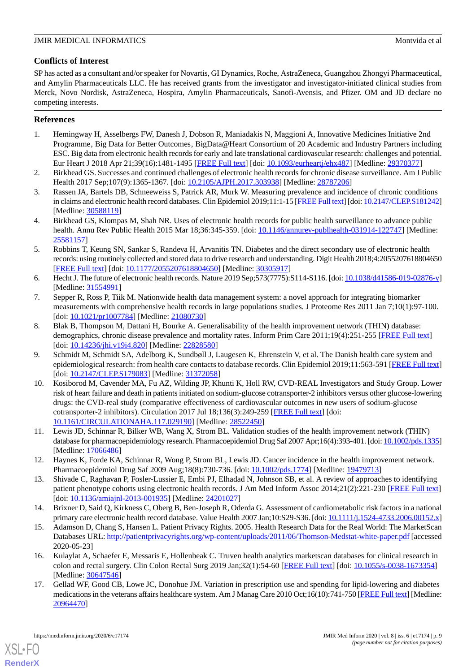# **Conflicts of Interest**

SP has acted as a consultant and/or speaker for Novartis, GI Dynamics, Roche, AstraZeneca, Guangzhou Zhongyi Pharmaceutical, and Amylin Pharmaceuticals LLC. He has received grants from the investigator and investigator-initiated clinical studies from Merck, Novo Nordisk, AstraZeneca, Hospira, Amylin Pharmaceuticals, Sanofi-Avensis, and Pfizer. OM and JD declare no competing interests.

# <span id="page-8-0"></span>**References**

- 1. Hemingway H, Asselbergs FW, Danesh J, Dobson R, Maniadakis N, Maggioni A, Innovative Medicines Initiative 2nd Programme, Big Data for Better Outcomes, BigData@Heart Consortium of 20 Academic and Industry Partners including ESC. Big data from electronic health records for early and late translational cardiovascular research: challenges and potential. Eur Heart J 2018 Apr 21;39(16):1481-1495 [\[FREE Full text\]](http://europepmc.org/abstract/MED/29370377) [doi: [10.1093/eurheartj/ehx487](http://dx.doi.org/10.1093/eurheartj/ehx487)] [Medline: [29370377\]](http://www.ncbi.nlm.nih.gov/entrez/query.fcgi?cmd=Retrieve&db=PubMed&list_uids=29370377&dopt=Abstract)
- 2. Birkhead GS. Successes and continued challenges of electronic health records for chronic disease surveillance. Am J Public Health 2017 Sep;107(9):1365-1367. [doi: [10.2105/AJPH.2017.303938](http://dx.doi.org/10.2105/AJPH.2017.303938)] [Medline: [28787206](http://www.ncbi.nlm.nih.gov/entrez/query.fcgi?cmd=Retrieve&db=PubMed&list_uids=28787206&dopt=Abstract)]
- 3. Rassen JA, Bartels DB, Schneeweiss S, Patrick AR, Murk W. Measuring prevalence and incidence of chronic conditions in claims and electronic health record databases. Clin Epidemiol 2019;11:1-15 [\[FREE Full text\]](https://dx.doi.org/10.2147/CLEP.S181242) [doi: [10.2147/CLEP.S181242\]](http://dx.doi.org/10.2147/CLEP.S181242) [Medline: [30588119](http://www.ncbi.nlm.nih.gov/entrez/query.fcgi?cmd=Retrieve&db=PubMed&list_uids=30588119&dopt=Abstract)]
- 4. Birkhead GS, Klompas M, Shah NR. Uses of electronic health records for public health surveillance to advance public health. Annu Rev Public Health 2015 Mar 18;36:345-359. [doi: [10.1146/annurev-publhealth-031914-122747\]](http://dx.doi.org/10.1146/annurev-publhealth-031914-122747) [Medline: [25581157](http://www.ncbi.nlm.nih.gov/entrez/query.fcgi?cmd=Retrieve&db=PubMed&list_uids=25581157&dopt=Abstract)]
- <span id="page-8-1"></span>5. Robbins T, Keung SN, Sankar S, Randeva H, Arvanitis TN. Diabetes and the direct secondary use of electronic health records: using routinely collected and stored data to drive research and understanding. Digit Health 2018;4:2055207618804650 [[FREE Full text](http://europepmc.org/abstract/MED/30305917)] [doi: [10.1177/2055207618804650\]](http://dx.doi.org/10.1177/2055207618804650) [Medline: [30305917](http://www.ncbi.nlm.nih.gov/entrez/query.fcgi?cmd=Retrieve&db=PubMed&list_uids=30305917&dopt=Abstract)]
- <span id="page-8-2"></span>6. Hecht J. The future of electronic health records. Nature 2019 Sep;573(7775):S114-S116. [doi: [10.1038/d41586-019-02876-y\]](http://dx.doi.org/10.1038/d41586-019-02876-y) [Medline: [31554991](http://www.ncbi.nlm.nih.gov/entrez/query.fcgi?cmd=Retrieve&db=PubMed&list_uids=31554991&dopt=Abstract)]
- <span id="page-8-4"></span>7. Sepper R, Ross P, Tiik M. Nationwide health data management system: a novel approach for integrating biomarker measurements with comprehensive health records in large populations studies. J Proteome Res 2011 Jan 7;10(1):97-100. [doi: [10.1021/pr1007784](http://dx.doi.org/10.1021/pr1007784)] [Medline: [21080730](http://www.ncbi.nlm.nih.gov/entrez/query.fcgi?cmd=Retrieve&db=PubMed&list_uids=21080730&dopt=Abstract)]
- <span id="page-8-5"></span>8. Blak B, Thompson M, Dattani H, Bourke A. Generalisability of the health improvement network (THIN) database: demographics, chronic disease prevalence and mortality rates. Inform Prim Care 2011;19(4):251-255 [[FREE Full text](http://hijournal.bcs.org/index.php/jhi/article/view/820)] [doi: [10.14236/jhi.v19i4.820\]](http://dx.doi.org/10.14236/jhi.v19i4.820) [Medline: [22828580](http://www.ncbi.nlm.nih.gov/entrez/query.fcgi?cmd=Retrieve&db=PubMed&list_uids=22828580&dopt=Abstract)]
- <span id="page-8-3"></span>9. Schmidt M, Schmidt SA, Adelborg K, Sundbøll J, Laugesen K, Ehrenstein V, et al. The Danish health care system and epidemiological research: from health care contacts to database records. Clin Epidemiol 2019;11:563-591 [[FREE Full text](https://dx.doi.org/10.2147/CLEP.S179083)] [doi: [10.2147/CLEP.S179083\]](http://dx.doi.org/10.2147/CLEP.S179083) [Medline: [31372058](http://www.ncbi.nlm.nih.gov/entrez/query.fcgi?cmd=Retrieve&db=PubMed&list_uids=31372058&dopt=Abstract)]
- <span id="page-8-6"></span>10. Kosiborod M, Cavender MA, Fu AZ, Wilding JP, Khunti K, Holl RW, CVD-REAL Investigators and Study Group. Lower risk of heart failure and death in patients initiated on sodium-glucose cotransporter-2 inhibitors versus other glucose-lowering drugs: the CVD-real study (comparative effectiveness of cardiovascular outcomes in new users of sodium-glucose cotransporter-2 inhibitors). Circulation 2017 Jul 18;136(3):249-259 [\[FREE Full text](http://europepmc.org/abstract/MED/28522450)] [doi: [10.1161/CIRCULATIONAHA.117.029190\]](http://dx.doi.org/10.1161/CIRCULATIONAHA.117.029190) [Medline: [28522450\]](http://www.ncbi.nlm.nih.gov/entrez/query.fcgi?cmd=Retrieve&db=PubMed&list_uids=28522450&dopt=Abstract)
- 11. Lewis JD, Schinnar R, Bilker WB, Wang X, Strom BL. Validation studies of the health improvement network (THIN) database for pharmacoepidemiology research. Pharmacoepidemiol Drug Saf 2007 Apr;16(4):393-401. [doi: [10.1002/pds.1335](http://dx.doi.org/10.1002/pds.1335)] [Medline: [17066486](http://www.ncbi.nlm.nih.gov/entrez/query.fcgi?cmd=Retrieve&db=PubMed&list_uids=17066486&dopt=Abstract)]
- <span id="page-8-7"></span>12. Haynes K, Forde KA, Schinnar R, Wong P, Strom BL, Lewis JD. Cancer incidence in the health improvement network. Pharmacoepidemiol Drug Saf 2009 Aug;18(8):730-736. [doi: [10.1002/pds.1774](http://dx.doi.org/10.1002/pds.1774)] [Medline: [19479713\]](http://www.ncbi.nlm.nih.gov/entrez/query.fcgi?cmd=Retrieve&db=PubMed&list_uids=19479713&dopt=Abstract)
- <span id="page-8-8"></span>13. Shivade C, Raghavan P, Fosler-Lussier E, Embi PJ, Elhadad N, Johnson SB, et al. A review of approaches to identifying patient phenotype cohorts using electronic health records. J Am Med Inform Assoc 2014;21(2):221-230 [\[FREE Full text](http://europepmc.org/abstract/MED/24201027)] [doi: [10.1136/amiajnl-2013-001935\]](http://dx.doi.org/10.1136/amiajnl-2013-001935) [Medline: [24201027\]](http://www.ncbi.nlm.nih.gov/entrez/query.fcgi?cmd=Retrieve&db=PubMed&list_uids=24201027&dopt=Abstract)
- <span id="page-8-9"></span>14. Brixner D, Said Q, Kirkness C, Oberg B, Ben-Joseph R, Oderda G. Assessment of cardiometabolic risk factors in a national primary care electronic health record database. Value Health 2007 Jan;10:S29-S36. [doi: [10.1111/j.1524-4733.2006.00152.x\]](http://dx.doi.org/10.1111/j.1524-4733.2006.00152.x)
- <span id="page-8-10"></span>15. Adamson D, Chang S, Hansen L. Patient Privacy Rights. 2005. Health Research Data for the Real World: The MarketScan Databases URL:<http://patientprivacyrights.org/wp-content/uploads/2011/06/Thomson-Medstat-white-paper.pdf> [accessed 2020-05-23]
- 16. Kulaylat A, Schaefer E, Messaris E, Hollenbeak C. Truven health analytics marketscan databases for clinical research in colon and rectal surgery. Clin Colon Rectal Surg 2019 Jan;32(1):54-60 [\[FREE Full text\]](http://europepmc.org/abstract/MED/30647546) [doi: [10.1055/s-0038-1673354\]](http://dx.doi.org/10.1055/s-0038-1673354) [Medline: [30647546](http://www.ncbi.nlm.nih.gov/entrez/query.fcgi?cmd=Retrieve&db=PubMed&list_uids=30647546&dopt=Abstract)]
- 17. Gellad WF, Good CB, Lowe JC, Donohue JM. Variation in prescription use and spending for lipid-lowering and diabetes medications in the veterans affairs healthcare system. Am J Manag Care 2010 Oct;16(10):741-750 [[FREE Full text\]](https://www.ajmc.com/pubMed.php?pii=12725) [Medline: [20964470](http://www.ncbi.nlm.nih.gov/entrez/query.fcgi?cmd=Retrieve&db=PubMed&list_uids=20964470&dopt=Abstract)]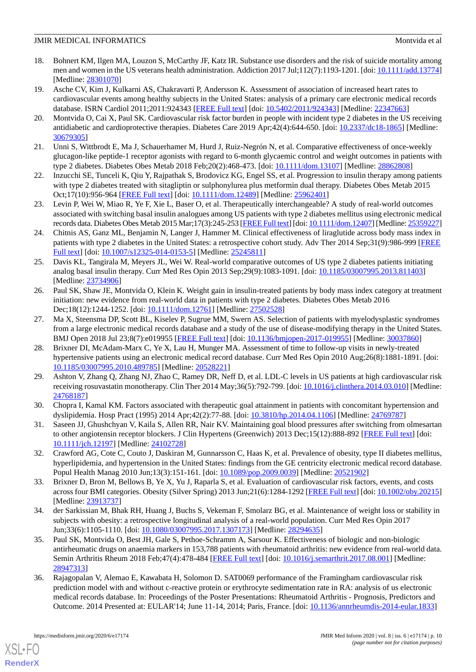- <span id="page-9-0"></span>18. Bohnert KM, Ilgen MA, Louzon S, McCarthy JF, Katz IR. Substance use disorders and the risk of suicide mortality among men and women in the US veterans health administration. Addiction 2017 Jul;112(7):1193-1201. [doi: [10.1111/add.13774](http://dx.doi.org/10.1111/add.13774)] [Medline: [28301070](http://www.ncbi.nlm.nih.gov/entrez/query.fcgi?cmd=Retrieve&db=PubMed&list_uids=28301070&dopt=Abstract)]
- <span id="page-9-1"></span>19. Asche CV, Kim J, Kulkarni AS, Chakravarti P, Andersson K. Assessment of association of increased heart rates to cardiovascular events among healthy subjects in the United States: analysis of a primary care electronic medical records database. ISRN Cardiol 2011;2011:924343 [\[FREE Full text\]](https://doi.org/10.5402/2011/924343) [doi: [10.5402/2011/924343\]](http://dx.doi.org/10.5402/2011/924343) [Medline: [22347663\]](http://www.ncbi.nlm.nih.gov/entrez/query.fcgi?cmd=Retrieve&db=PubMed&list_uids=22347663&dopt=Abstract)
- <span id="page-9-2"></span>20. Montvida O, Cai X, Paul SK. Cardiovascular risk factor burden in people with incident type 2 diabetes in the US receiving antidiabetic and cardioprotective therapies. Diabetes Care 2019 Apr;42(4):644-650. [doi: [10.2337/dc18-1865\]](http://dx.doi.org/10.2337/dc18-1865) [Medline: [30679305](http://www.ncbi.nlm.nih.gov/entrez/query.fcgi?cmd=Retrieve&db=PubMed&list_uids=30679305&dopt=Abstract)]
- <span id="page-9-3"></span>21. Unni S, Wittbrodt E, Ma J, Schauerhamer M, Hurd J, Ruiz-Negrón N, et al. Comparative effectiveness of once-weekly glucagon-like peptide-1 receptor agonists with regard to 6-month glycaemic control and weight outcomes in patients with type 2 diabetes. Diabetes Obes Metab 2018 Feb;20(2):468-473. [doi: [10.1111/dom.13107](http://dx.doi.org/10.1111/dom.13107)] [Medline: [28862808\]](http://www.ncbi.nlm.nih.gov/entrez/query.fcgi?cmd=Retrieve&db=PubMed&list_uids=28862808&dopt=Abstract)
- 22. Inzucchi SE, Tunceli K, Qiu Y, Rajpathak S, Brodovicz KG, Engel SS, et al. Progression to insulin therapy among patients with type 2 diabetes treated with sitagliptin or sulphonylurea plus metformin dual therapy. Diabetes Obes Metab 2015 Oct;17(10):956-964 [\[FREE Full text\]](http://europepmc.org/abstract/MED/25962401) [doi: [10.1111/dom.12489](http://dx.doi.org/10.1111/dom.12489)] [Medline: [25962401](http://www.ncbi.nlm.nih.gov/entrez/query.fcgi?cmd=Retrieve&db=PubMed&list_uids=25962401&dopt=Abstract)]
- 23. Levin P, Wei W, Miao R, Ye F, Xie L, Baser O, et al. Therapeutically interchangeable? A study of real-world outcomes associated with switching basal insulin analogues among US patients with type 2 diabetes mellitus using electronic medical records data. Diabetes Obes Metab 2015 Mar;17(3):245-253 [[FREE Full text](http://europepmc.org/abstract/MED/25359227)] [doi: [10.1111/dom.12407](http://dx.doi.org/10.1111/dom.12407)] [Medline: [25359227\]](http://www.ncbi.nlm.nih.gov/entrez/query.fcgi?cmd=Retrieve&db=PubMed&list_uids=25359227&dopt=Abstract)
- 24. Chitnis AS, Ganz ML, Benjamin N, Langer J, Hammer M. Clinical effectiveness of liraglutide across body mass index in patients with type 2 diabetes in the United States: a retrospective cohort study. Adv Ther 2014 Sep;31(9):986-999 [\[FREE](http://europepmc.org/abstract/MED/25245811) [Full text\]](http://europepmc.org/abstract/MED/25245811) [doi: [10.1007/s12325-014-0153-5](http://dx.doi.org/10.1007/s12325-014-0153-5)] [Medline: [25245811](http://www.ncbi.nlm.nih.gov/entrez/query.fcgi?cmd=Retrieve&db=PubMed&list_uids=25245811&dopt=Abstract)]
- <span id="page-9-4"></span>25. Davis KL, Tangirala M, Meyers JL, Wei W. Real-world comparative outcomes of US type 2 diabetes patients initiating analog basal insulin therapy. Curr Med Res Opin 2013 Sep;29(9):1083-1091. [doi: [10.1185/03007995.2013.811403](http://dx.doi.org/10.1185/03007995.2013.811403)] [Medline: [23734906](http://www.ncbi.nlm.nih.gov/entrez/query.fcgi?cmd=Retrieve&db=PubMed&list_uids=23734906&dopt=Abstract)]
- <span id="page-9-5"></span>26. Paul SK, Shaw JE, Montvida O, Klein K. Weight gain in insulin-treated patients by body mass index category at treatment initiation: new evidence from real-world data in patients with type 2 diabetes. Diabetes Obes Metab 2016 Dec;18(12):1244-1252. [doi: [10.1111/dom.12761](http://dx.doi.org/10.1111/dom.12761)] [Medline: [27502528\]](http://www.ncbi.nlm.nih.gov/entrez/query.fcgi?cmd=Retrieve&db=PubMed&list_uids=27502528&dopt=Abstract)
- 27. Ma X, Steensma DP, Scott BL, Kiselev P, Sugrue MM, Swern AS. Selection of patients with myelodysplastic syndromes from a large electronic medical records database and a study of the use of disease-modifying therapy in the United States. BMJ Open 2018 Jul 23;8(7):e019955 [[FREE Full text](http://bmjopen.bmj.com/cgi/pmidlookup?view=long&pmid=30037860)] [doi: [10.1136/bmjopen-2017-019955](http://dx.doi.org/10.1136/bmjopen-2017-019955)] [Medline: [30037860](http://www.ncbi.nlm.nih.gov/entrez/query.fcgi?cmd=Retrieve&db=PubMed&list_uids=30037860&dopt=Abstract)]
- 28. Brixner DI, McAdam-Marx C, Ye X, Lau H, Munger MA. Assessment of time to follow-up visits in newly-treated hypertensive patients using an electronic medical record database. Curr Med Res Opin 2010 Aug;26(8):1881-1891. [doi: [10.1185/03007995.2010.489785\]](http://dx.doi.org/10.1185/03007995.2010.489785) [Medline: [20528221\]](http://www.ncbi.nlm.nih.gov/entrez/query.fcgi?cmd=Retrieve&db=PubMed&list_uids=20528221&dopt=Abstract)
- <span id="page-9-6"></span>29. Ashton V, Zhang Q, Zhang NJ, Zhao C, Ramey DR, Neff D, et al. LDL-C levels in US patients at high cardiovascular risk receiving rosuvastatin monotherapy. Clin Ther 2014 May;36(5):792-799. [doi: [10.1016/j.clinthera.2014.03.010\]](http://dx.doi.org/10.1016/j.clinthera.2014.03.010) [Medline: [24768187](http://www.ncbi.nlm.nih.gov/entrez/query.fcgi?cmd=Retrieve&db=PubMed&list_uids=24768187&dopt=Abstract)]
- <span id="page-9-7"></span>30. Chopra I, Kamal KM. Factors associated with therapeutic goal attainment in patients with concomitant hypertension and dyslipidemia. Hosp Pract (1995) 2014 Apr;42(2):77-88. [doi: [10.3810/hp.2014.04.1106\]](http://dx.doi.org/10.3810/hp.2014.04.1106) [Medline: [24769787](http://www.ncbi.nlm.nih.gov/entrez/query.fcgi?cmd=Retrieve&db=PubMed&list_uids=24769787&dopt=Abstract)]
- 31. Saseen JJ, Ghushchyan V, Kaila S, Allen RR, Nair KV. Maintaining goal blood pressures after switching from olmesartan to other angiotensin receptor blockers. J Clin Hypertens (Greenwich) 2013 Dec;15(12):888-892 [\[FREE Full text\]](https://doi.org/10.1111/jch.12197) [doi: [10.1111/jch.12197\]](http://dx.doi.org/10.1111/jch.12197) [Medline: [24102728](http://www.ncbi.nlm.nih.gov/entrez/query.fcgi?cmd=Retrieve&db=PubMed&list_uids=24102728&dopt=Abstract)]
- <span id="page-9-8"></span>32. Crawford AG, Cote C, Couto J, Daskiran M, Gunnarsson C, Haas K, et al. Prevalence of obesity, type II diabetes mellitus, hyperlipidemia, and hypertension in the United States: findings from the GE centricity electronic medical record database. Popul Health Manag 2010 Jun;13(3):151-161. [doi: [10.1089/pop.2009.0039](http://dx.doi.org/10.1089/pop.2009.0039)] [Medline: [20521902](http://www.ncbi.nlm.nih.gov/entrez/query.fcgi?cmd=Retrieve&db=PubMed&list_uids=20521902&dopt=Abstract)]
- <span id="page-9-9"></span>33. Brixner D, Bron M, Bellows B, Ye X, Yu J, Raparla S, et al. Evaluation of cardiovascular risk factors, events, and costs across four BMI categories. Obesity (Silver Spring) 2013 Jun;21(6):1284-1292 [[FREE Full text\]](https://doi.org/10.1002/oby.20215) [doi: [10.1002/oby.20215](http://dx.doi.org/10.1002/oby.20215)] [Medline: [23913737](http://www.ncbi.nlm.nih.gov/entrez/query.fcgi?cmd=Retrieve&db=PubMed&list_uids=23913737&dopt=Abstract)]
- 34. der Sarkissian M, Bhak RH, Huang J, Buchs S, Vekeman F, Smolarz BG, et al. Maintenance of weight loss or stability in subjects with obesity: a retrospective longitudinal analysis of a real-world population. Curr Med Res Opin 2017 Jun;33(6):1105-1110. [doi: [10.1080/03007995.2017.1307173\]](http://dx.doi.org/10.1080/03007995.2017.1307173) [Medline: [28294635](http://www.ncbi.nlm.nih.gov/entrez/query.fcgi?cmd=Retrieve&db=PubMed&list_uids=28294635&dopt=Abstract)]
- 35. Paul SK, Montvida O, Best JH, Gale S, Pethoe-Schramm A, Sarsour K. Effectiveness of biologic and non-biologic antirheumatic drugs on anaemia markers in 153,788 patients with rheumatoid arthritis: new evidence from real-world data. Semin Arthritis Rheum 2018 Feb;47(4):478-484 [\[FREE Full text\]](https://linkinghub.elsevier.com/retrieve/pii/S0049-0172(17)30324-4) [doi: [10.1016/j.semarthrit.2017.08.001\]](http://dx.doi.org/10.1016/j.semarthrit.2017.08.001) [Medline: [28947313](http://www.ncbi.nlm.nih.gov/entrez/query.fcgi?cmd=Retrieve&db=PubMed&list_uids=28947313&dopt=Abstract)]
- 36. Rajagopalan V, Alemao E, Kawabata H, Solomon D. SAT0069 performance of the Framingham cardiovascular risk prediction model with and without c-reactive protein or erythrocyte sedimentation rate in RA: analysis of us electronic medical records database. In: Proceedings of the Poster Presentations: Rheumatoid Arthritis - Prognosis, Predictors and Outcome. 2014 Presented at: EULAR'14; June 11-14, 2014; Paris, France. [doi: [10.1136/annrheumdis-2014-eular.1833](http://dx.doi.org/10.1136/annrheumdis-2014-eular.1833)]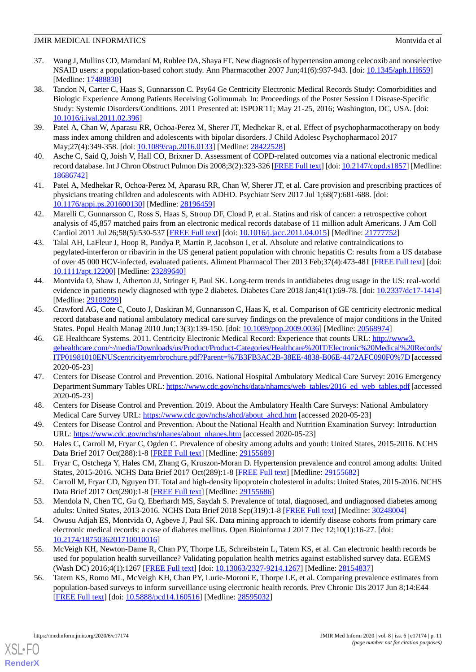- 37. Wang J, Mullins CD, Mamdani M, Rublee DA, Shaya FT. New diagnosis of hypertension among celecoxib and nonselective NSAID users: a population-based cohort study. Ann Pharmacother 2007 Jun;41(6):937-943. [doi: [10.1345/aph.1H659](http://dx.doi.org/10.1345/aph.1H659)] [Medline: [17488830](http://www.ncbi.nlm.nih.gov/entrez/query.fcgi?cmd=Retrieve&db=PubMed&list_uids=17488830&dopt=Abstract)]
- <span id="page-10-0"></span>38. Tandon N, Carter C, Haas S, Gunnarsson C. Psy64 Ge Centricity Electronic Medical Records Study: Comorbidities and Biologic Experience Among Patients Receiving Golimumab. In: Proceedings of the Poster Session I Disease-Specific Study: Systemic Disorders/Conditions. 2011 Presented at: ISPOR'11; May 21-25, 2016; Washington, DC, USA. [doi: [10.1016/j.jval.2011.02.396](http://dx.doi.org/10.1016/j.jval.2011.02.396)]
- <span id="page-10-7"></span><span id="page-10-1"></span>39. Patel A, Chan W, Aparasu RR, Ochoa-Perez M, Sherer JT, Medhekar R, et al. Effect of psychopharmacotherapy on body mass index among children and adolescents with bipolar disorders. J Child Adolesc Psychopharmacol 2017 May;27(4):349-358. [doi: [10.1089/cap.2016.0133\]](http://dx.doi.org/10.1089/cap.2016.0133) [Medline: [28422528\]](http://www.ncbi.nlm.nih.gov/entrez/query.fcgi?cmd=Retrieve&db=PubMed&list_uids=28422528&dopt=Abstract)
- <span id="page-10-2"></span>40. Asche C, Said Q, Joish V, Hall CO, Brixner D. Assessment of COPD-related outcomes via a national electronic medical record database. Int J Chron Obstruct Pulmon Dis 2008;3(2):323-326 [\[FREE Full text\]](https://www.dovepress.com/articles.php?article_id=1832) [doi: [10.2147/copd.s1857](http://dx.doi.org/10.2147/copd.s1857)] [Medline: [18686742](http://www.ncbi.nlm.nih.gov/entrez/query.fcgi?cmd=Retrieve&db=PubMed&list_uids=18686742&dopt=Abstract)]
- <span id="page-10-3"></span>41. Patel A, Medhekar R, Ochoa-Perez M, Aparasu RR, Chan W, Sherer JT, et al. Care provision and prescribing practices of physicians treating children and adolescents with ADHD. Psychiatr Serv 2017 Jul 1;68(7):681-688. [doi: [10.1176/appi.ps.201600130\]](http://dx.doi.org/10.1176/appi.ps.201600130) [Medline: [28196459\]](http://www.ncbi.nlm.nih.gov/entrez/query.fcgi?cmd=Retrieve&db=PubMed&list_uids=28196459&dopt=Abstract)
- <span id="page-10-4"></span>42. Marelli C, Gunnarsson C, Ross S, Haas S, Stroup DF, Cload P, et al. Statins and risk of cancer: a retrospective cohort analysis of 45,857 matched pairs from an electronic medical records database of 11 million adult Americans. J Am Coll Cardiol 2011 Jul 26;58(5):530-537 [\[FREE Full text](https://linkinghub.elsevier.com/retrieve/pii/S0735-1097(11)01663-9)] [doi: [10.1016/j.jacc.2011.04.015\]](http://dx.doi.org/10.1016/j.jacc.2011.04.015) [Medline: [21777752\]](http://www.ncbi.nlm.nih.gov/entrez/query.fcgi?cmd=Retrieve&db=PubMed&list_uids=21777752&dopt=Abstract)
- <span id="page-10-5"></span>43. Talal AH, LaFleur J, Hoop R, Pandya P, Martin P, Jacobson I, et al. Absolute and relative contraindications to pegylated-interferon or ribavirin in the US general patient population with chronic hepatitis C: results from a US database of over 45 000 HCV-infected, evaluated patients. Aliment Pharmacol Ther 2013 Feb;37(4):473-481 [\[FREE Full text](https://doi.org/10.1111/apt.12200)] [doi: [10.1111/apt.12200\]](http://dx.doi.org/10.1111/apt.12200) [Medline: [23289640](http://www.ncbi.nlm.nih.gov/entrez/query.fcgi?cmd=Retrieve&db=PubMed&list_uids=23289640&dopt=Abstract)]
- <span id="page-10-6"></span>44. Montvida O, Shaw J, Atherton JJ, Stringer F, Paul SK. Long-term trends in antidiabetes drug usage in the US: real-world evidence in patients newly diagnosed with type 2 diabetes. Diabetes Care 2018 Jan;41(1):69-78. [doi: [10.2337/dc17-1414](http://dx.doi.org/10.2337/dc17-1414)] [Medline: [29109299](http://www.ncbi.nlm.nih.gov/entrez/query.fcgi?cmd=Retrieve&db=PubMed&list_uids=29109299&dopt=Abstract)]
- <span id="page-10-8"></span>45. Crawford AG, Cote C, Couto J, Daskiran M, Gunnarsson C, Haas K, et al. Comparison of GE centricity electronic medical record database and national ambulatory medical care survey findings on the prevalence of major conditions in the United States. Popul Health Manag 2010 Jun;13(3):139-150. [doi: [10.1089/pop.2009.0036](http://dx.doi.org/10.1089/pop.2009.0036)] [Medline: [20568974](http://www.ncbi.nlm.nih.gov/entrez/query.fcgi?cmd=Retrieve&db=PubMed&list_uids=20568974&dopt=Abstract)]
- <span id="page-10-9"></span>46. GE Healthcare Systems. 2011. Centricity Electronic Medical Record: Experience that counts URL: [http://www3.](http://www3.gehealthcare.com/~/media/Downloads/us/Product/Product-Categories/Healthcare%20IT/Electronic%20Medical%20Records/ITP01981010ENUScentricityemrbrochure.pdf?Parent=%7B3FB3AC2B-38EE-4838-B06E-4472AFC090F0%7D) [gehealthcare.com/~/media/Downloads/us/Product/Product-Categories/Healthcare%20IT/Electronic%20Medical%20Records/](http://www3.gehealthcare.com/~/media/Downloads/us/Product/Product-Categories/Healthcare%20IT/Electronic%20Medical%20Records/ITP01981010ENUScentricityemrbrochure.pdf?Parent=%7B3FB3AC2B-38EE-4838-B06E-4472AFC090F0%7D) [ITP01981010ENUScentricityemrbrochure.pdf?Parent=%7B3FB3AC2B-38EE-4838-B06E-4472AFC090F0%7D](http://www3.gehealthcare.com/~/media/Downloads/us/Product/Product-Categories/Healthcare%20IT/Electronic%20Medical%20Records/ITP01981010ENUScentricityemrbrochure.pdf?Parent=%7B3FB3AC2B-38EE-4838-B06E-4472AFC090F0%7D) [accessed 2020-05-23]
- <span id="page-10-11"></span><span id="page-10-10"></span>47. Centers for Disease Control and Prevention. 2016. National Hospital Ambulatory Medical Care Survey: 2016 Emergency Department Summary Tables URL: [https://www.cdc.gov/nchs/data/nhamcs/web\\_tables/2016\\_ed\\_web\\_tables.pdf](https://www.cdc.gov/nchs/data/nhamcs/web_tables/2016_ed_web_tables.pdf) [accessed 2020-05-23]
- <span id="page-10-12"></span>48. Centers for Disease Control and Prevention. 2019. About the Ambulatory Health Care Surveys: National Ambulatory Medical Care Survey URL: [https://www.cdc.gov/nchs/ahcd/about\\_ahcd.htm](https://www.cdc.gov/nchs/ahcd/about_ahcd.htm) [accessed 2020-05-23]
- <span id="page-10-14"></span><span id="page-10-13"></span>49. Centers for Disease Control and Prevention. About the National Health and Nutrition Examination Survey: Introduction URL: [https://www.cdc.gov/nchs/nhanes/about\\_nhanes.htm](https://www.cdc.gov/nchs/nhanes/about_nhanes.htm) [accessed 2020-05-23]
- <span id="page-10-15"></span>50. Hales C, Carroll M, Fryar C, Ogden C. Prevalence of obesity among adults and youth: United States, 2015-2016. NCHS Data Brief 2017 Oct(288):1-8 [[FREE Full text\]](http://www.cdc.gov/nchs/data/databriefs/db288.pdf) [Medline: [29155689\]](http://www.ncbi.nlm.nih.gov/entrez/query.fcgi?cmd=Retrieve&db=PubMed&list_uids=29155689&dopt=Abstract)
- <span id="page-10-16"></span>51. Fryar C, Ostchega Y, Hales CM, Zhang G, Kruszon-Moran D. Hypertension prevalence and control among adults: United States, 2015-2016. NCHS Data Brief 2017 Oct(289):1-8 [[FREE Full text](http://www.cdc.gov/nchs/data/databriefs/db289.pdf)] [Medline: [29155682](http://www.ncbi.nlm.nih.gov/entrez/query.fcgi?cmd=Retrieve&db=PubMed&list_uids=29155682&dopt=Abstract)]
- 52. Carroll M, Fryar CD, Nguyen DT. Total and high-density lipoprotein cholesterol in adults: United States, 2015-2016. NCHS Data Brief 2017 Oct(290):1-8 [[FREE Full text\]](http://www.cdc.gov/nchs/data/databriefs/db290.pdf) [Medline: [29155686\]](http://www.ncbi.nlm.nih.gov/entrez/query.fcgi?cmd=Retrieve&db=PubMed&list_uids=29155686&dopt=Abstract)
- <span id="page-10-17"></span>53. Mendola N, Chen TC, Gu Q, Eberhardt MS, Saydah S. Prevalence of total, diagnosed, and undiagnosed diabetes among adults: United States, 2013-2016. NCHS Data Brief 2018 Sep(319):1-8 [\[FREE Full text\]](http://www.cdc.gov/nchs/data/databriefs/db319.pdf) [Medline: [30248004\]](http://www.ncbi.nlm.nih.gov/entrez/query.fcgi?cmd=Retrieve&db=PubMed&list_uids=30248004&dopt=Abstract)
- <span id="page-10-18"></span>54. Owusu Adjah ES, Montvida O, Agbeve J, Paul SK. Data mining approach to identify disease cohorts from primary care electronic medical records: a case of diabetes mellitus. Open Bioinforma J 2017 Dec 12;10(1):16-27. [doi: [10.2174/1875036201710010016\]](http://dx.doi.org/10.2174/1875036201710010016)
- 55. McVeigh KH, Newton-Dame R, Chan PY, Thorpe LE, Schreibstein L, Tatem KS, et al. Can electronic health records be used for population health surveillance? Validating population health metrics against established survey data. EGEMS (Wash DC) 2016;4(1):1267 [\[FREE Full text](http://europepmc.org/abstract/MED/28154837)] [doi: [10.13063/2327-9214.1267\]](http://dx.doi.org/10.13063/2327-9214.1267) [Medline: [28154837\]](http://www.ncbi.nlm.nih.gov/entrez/query.fcgi?cmd=Retrieve&db=PubMed&list_uids=28154837&dopt=Abstract)
- 56. Tatem KS, Romo ML, McVeigh KH, Chan PY, Lurie-Moroni E, Thorpe LE, et al. Comparing prevalence estimates from population-based surveys to inform surveillance using electronic health records. Prev Chronic Dis 2017 Jun 8;14:E44 [[FREE Full text](https://www.cdc.gov/pcd/issues/2017/16_0516.htm)] [doi: [10.5888/pcd14.160516\]](http://dx.doi.org/10.5888/pcd14.160516) [Medline: [28595032\]](http://www.ncbi.nlm.nih.gov/entrez/query.fcgi?cmd=Retrieve&db=PubMed&list_uids=28595032&dopt=Abstract)